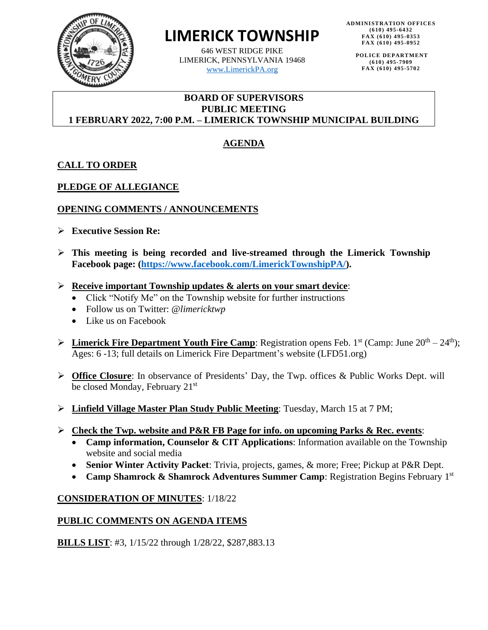

# **LIMERICK TOWNSHIP**

646 WEST RIDGE PIKE LIMERICK, PENNSYLVANIA 19468 [www.LimerickPA.org](http://www.limerickpa.org/)

**POLICE DEPARTMENT (610) 495-7909 FAX (610) 495-5702**

## **BOARD OF SUPERVISORS PUBLIC MEETING 1 FEBRUARY 2022, 7:00 P.M. – LIMERICK TOWNSHIP MUNICIPAL BUILDING**

# **AGENDA**

## **CALL TO ORDER**

## **PLEDGE OF ALLEGIANCE**

## **OPENING COMMENTS / ANNOUNCEMENTS**

- ➢ **Executive Session Re:**
- ➢ **This meeting is being recorded and live-streamed through the Limerick Township Facebook page: [\(https://www.facebook.com/LimerickTownshipPA/\)](https://www.facebook.com/LimerickTownshipPA/).**
- ➢ **Receive important Township updates & alerts on your smart device**:
	- Click "Notify Me" on the Township website for further instructions
	- Follow us on Twitter: @*limericktwp*
	- Like us on Facebook
- **►** Limerick Fire Department Youth Fire Camp: Registration opens Feb. 1<sup>st</sup> (Camp: June 20<sup>th</sup> 24<sup>th</sup>); Ages: 6 -13; full details on Limerick Fire Department's website (LFD51.org)
- ➢ **Office Closure**: In observance of Presidents' Day, the Twp. offices & Public Works Dept. will be closed Monday, February 21<sup>st</sup>
- ➢ **Linfield Village Master Plan Study Public Meeting**: Tuesday, March 15 at 7 PM;
- ➢ **Check the Twp. website and P&R FB Page for info. on upcoming Parks & Rec. events**:
	- **Camp information, Counselor & CIT Applications**: Information available on the Township website and social media
	- **Senior Winter Activity Packet**: Trivia, projects, games, & more; Free; Pickup at P&R Dept.
	- **Camp Shamrock & Shamrock Adventures Summer Camp**: Registration Begins February 1st

## **CONSIDERATION OF MINUTES**: 1/18/22

## **PUBLIC COMMENTS ON AGENDA ITEMS**

**BILLS LIST**: #3, 1/15/22 through 1/28/22, \$287,883.13